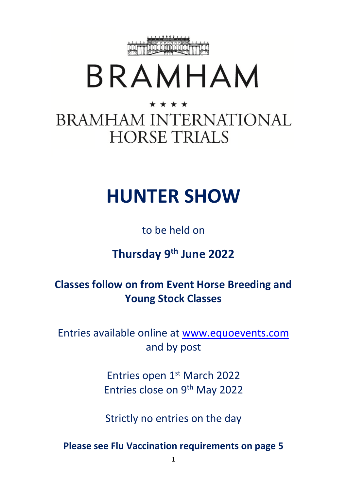

# BRAMHAM

# \* \* \* \* **BRAMHAM INTERNATIONAL HORSE TRIALS**

# **HUNTER SHOW**

# to be held on

# **Thursday 9 th June 2022**

## **Classes follow on from Event Horse Breeding and Young Stock Classes**

Entries available online at [www.equoevents.com](http://www.equoevents.com/) and by post

> Entries open 1st March 2022 Entries close on 9<sup>th</sup> May 2022

> Strictly no entries on the day

**Please see Flu Vaccination requirements on page 5**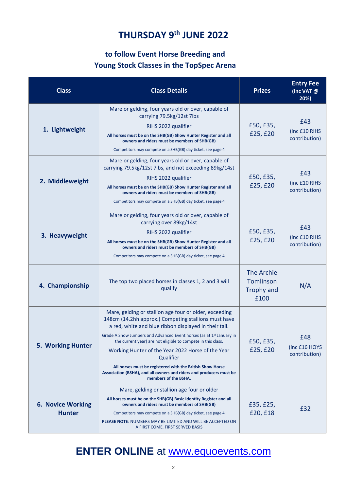### **THURSDAY 9 th JUNE 2022**

### **to follow Event Horse Breeding and Young Stock Classes in the TopSpec Arena**

| <b>Class</b>                              | <b>Class Details</b>                                                                                                                                                                                                                                                                                                                                                                                                                                                                                                                                      | <b>Prizes</b>                                               | <b>Entry Fee</b><br>(inc VAT @<br>20%) |
|-------------------------------------------|-----------------------------------------------------------------------------------------------------------------------------------------------------------------------------------------------------------------------------------------------------------------------------------------------------------------------------------------------------------------------------------------------------------------------------------------------------------------------------------------------------------------------------------------------------------|-------------------------------------------------------------|----------------------------------------|
| 1. Lightweight                            | Mare or gelding, four years old or over, capable of<br>carrying 79.5kg/12st 7lbs<br>RIHS 2022 qualifier<br>All horses must be on the SHB(GB) Show Hunter Register and all<br>owners and riders must be members of SHB(GB)<br>Competitors may compete on a SHB(GB) day ticket, see page 4                                                                                                                                                                                                                                                                  | £50, £35,<br>£25, £20                                       | £43<br>(inc £10 RIHS<br>contribution)  |
| 2. Middleweight                           | Mare or gelding, four years old or over, capable of<br>carrying 79.5kg/12st 7lbs, and not exceeding 89kg/14st<br>RIHS 2022 qualifier<br>All horses must be on the SHB(GB) Show Hunter Register and all<br>owners and riders must be members of SHB(GB)<br>Competitors may compete on a SHB(GB) day ticket, see page 4                                                                                                                                                                                                                                     | £50, £35,<br>£25, £20                                       | £43<br>(inc £10 RIHS<br>contribution)  |
| 3. Heavyweight                            | Mare or gelding, four years old or over, capable of<br>carrying over 89kg/14st<br>RIHS 2022 qualifier<br>All horses must be on the SHB(GB) Show Hunter Register and all<br>owners and riders must be members of SHB(GB)<br>Competitors may compete on a SHB(GB) day ticket, see page 4                                                                                                                                                                                                                                                                    | £50, £35,<br>£25, £20                                       | £43<br>(inc £10 RIHS<br>contribution)  |
| 4. Championship                           | The top two placed horses in classes 1, 2 and 3 will<br>qualify                                                                                                                                                                                                                                                                                                                                                                                                                                                                                           | The Archie<br><b>Tomlinson</b><br><b>Trophy and</b><br>£100 | N/A                                    |
| <b>5. Working Hunter</b>                  | Mare, gelding or stallion age four or older, exceeding<br>148cm (14.2hh approx.) Competing stallions must have<br>a red, white and blue ribbon displayed in their tail.<br>Grade A Show Jumpers and Advanced Event horses (as at 1 <sup>st</sup> January in<br>the current year) are not eligible to compete in this class.<br>Working Hunter of the Year 2022 Horse of the Year<br>Qualifier<br>All horses must be registered with the British Show Horse<br>Association (BSHA), and all owners and riders and producers must be<br>members of the BSHA. | £50, £35,<br>£25, £20                                       | £48<br>(inc £16 HOYS<br>contribution)  |
| <b>6. Novice Working</b><br><b>Hunter</b> | Mare, gelding or stallion age four or older<br>All horses must be on the SHB(GB) Basic Identity Register and all<br>owners and riders must be members of SHB(GB)<br>Competitors may compete on a SHB(GB) day ticket, see page 4<br>PLEASE NOTE: NUMBERS MAY BE LIMITED AND WILL BE ACCEPTED ON<br>A FIRST COME, FIRST SERVED BASIS                                                                                                                                                                                                                        | £35, £25,<br>£20, £18                                       | £32                                    |

### **ENTER ONLINE** at [www.equoevents.com](http://www.equoevents.com/)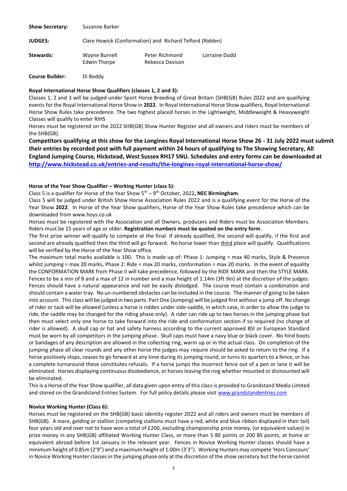| <b>Show Secretary:</b> | Suzanne Barker                                           |                                   |               |  |
|------------------------|----------------------------------------------------------|-----------------------------------|---------------|--|
| <b>JUDGES:</b>         | Clare Howick (Conformation) and Richard Telford (Ridden) |                                   |               |  |
| Stewards:              | Wayne Burnell<br>Edwin Thorpe                            | Peter Richmond<br>Rebecca Davison | Lorraine Dodd |  |

**Course Builder:** Di Boddy

#### **Royal International Horse Show Qualifiers (classes 1, 2 and 3):**

Classes 1, 2 and 3 will be judged under Sport Horse Breeding of Great Britain (SHB(GB) Rules 2022 and are qualifying events for the Royal International Horse Show in **2022**. In Royal International Horse Show qualifiers, Royal International Horse Show Rules take precedence. The two highest placed horses in the Lightweight, Middleweight & Heavyweight Classes will qualify to enter RIHS

Horses must be registered on the 2022 SHB(GB) Show Hunter Register and all owners and riders must be members of the SHB(GB).

**Competitors qualifying at this show for the Longines Royal International Horse Show 26 - 31 July 2022 must submit their entries by recorded post with full payment within 24 hours of qualifying to The Showing Secretary, All England Jumping Course, Hickstead, West Sussex RH17 5NU. Schedules and entry forms can be downloaded at <http://www.hickstead.co.uk/entries-and-results/the-longines-royal-international-horse-show/>**

#### **Horse of the Year Show Qualifier – Working Hunter (class 5):**

Class 5 is a qualifier for Horse of the Year Show 5 th – 9 th October, 2022**, NEC Birmingham**.

Class 5 will be judged under British Show Horse Association Rules 2022 and is a qualifying event for the Horse of the Year Show **2022**. In Horse of the Year Show qualifiers, Horse of the Year Show Rules take precedence which can be downloaded from www.hoys.co.uk

Horses must be registered with the Association and all Owners, producers and Riders must be Association Members. Riders must be 15 years of age or older. **Registration numbers must be quoted on the entry form**.

The first prize winner will qualify to compete at the final. If already qualified, the second will qualify, if the first and second are already qualified then the third will go forward. No horse lower than third place will qualify. Qualifications will be verified by the Horse of the Year Show office.

The maximum total marks available is 100. This is made up of: Phase 1: Jumping = max 40 marks, Style & Presence whilst jumping = max 20 marks, Phase 2: Ride = max 20 marks, conformation = max 20 marks. In the event of equality the CONFORMATION MARK from Phase II will take precedence, followed by the RIDE MARK and then the STYLE MARK. Fences to be a min of 8 and a max of 12 in number and a max height of 1.14m (3ft 9in) at the discretion of the judges. Fences should have a natural appearance and not be easily dislodged. The course must contain a combination and should contain a water tray. No un-numbered obstacles can be included in the course. The manner of going to be taken into account. This class will be judged in two parts. Part One (Jumping) will be judged first without a jump off. No change of rider or tack will be allowed (unless a horse is ridden under side-saddle, in which case, in order to allow the judge to ride, the saddle may be changed for the riding phase only). A rider can ride up to two horses in the jumping phase but then must select only one horse to take forward into the ride and conformation section if so required (no change of rider is allowed). A skull cap or hat and safety harness according to the current approved BSI or European Standard must be worn by all competitors in the jumping phase. Skull caps must have a navy blue or black cover. No hind boots or bandages of any description are allowed in the collecting ring, warm up or in the actual class. On completion of the jumping phase all clear rounds and any other horse the judges may require should be asked to return to the ring. If a horse positively stops, ceases to go forward at any time during its jumping round, or turns its quarters to a fence, or has a complete turnaround these constitutes refusals. If a horse jumps the incorrect fence out of a pen or lane it will be eliminated. Horses displaying continuous disobedience, or horses leaving the ring whether mounted or dismounted will be eliminated.

This is a Horse of the Year Show qualifier, all data given upon entry of this class is provided to Grandstand Media Limited and stored on the Grandstand Entries System. For full policy details please visit [www.grandstandentries.com](http://www.grandstandentries.com/)

#### **Novice Working Hunter (Class 6):**

Horses must be registered on the SHB(GB) basic identity register 2022 and all riders and owners must be members of SHB(GB). A mare, gelding or stallion (competing stallions must have a red, white and blue ribbon displayed in their tail) four years old and over not to have won a total of £200, excluding championship prize money, (or equivalent values) in prize money in any SHB(GB) affiliated Working Hunter Class, or more than 5 BE points or 200 BS points, at home or equivalent abroad before 1st January in the relevant year. Fences in Novice Working Hunter classes should have a minimum height of 0.85m (2'9") and a maximum height of 1.00m (3'3"). Working Hunters may compete 'Hors Concours' in Novice Working Hunter classes in the jumping phase only at the discretion of the show secretary but the horse cannot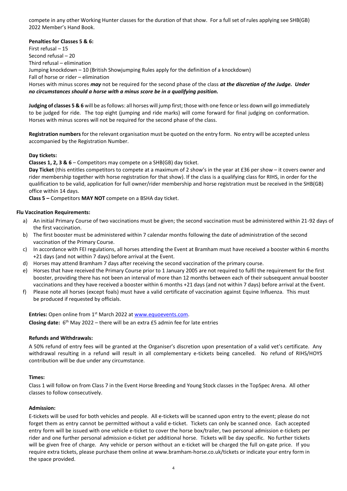compete in any other Working Hunter classes for the duration of that show. For a full set of rules applying see SHB(GB) 2022 Member's Hand Book.

#### **Penalties for Classes 5 & 6:**

First refusal – 15 Second refusal – 20 Third refusal – elimination Jumping knockdown – 10 (British Showjumping Rules apply for the definition of a knockdown) Fall of horse or rider – elimination Horses with minus scores *may* not be required for the second phase of the class *at the discretion of the Judge. Under no circumstances should a horse with a minus score be in a qualifying position.*

**Judging of classes 5 & 6** will be as follows: all horses will jump first; those with one fence or less down will go immediately to be judged for ride. The top eight (jumping and ride marks) will come forward for final judging on conformation. Horses with minus scores will not be required for the second phase of the class.

**Registration numbers** for the relevant organisation must be quoted on the entry form. No entry will be accepted unless accompanied by the Registration Number.

#### **Day tickets:**

**Classes 1, 2, 3 & 6** – Competitors may compete on a SHB(GB) day ticket.

**Day Ticket** (this entitles competitors to compete at a maximum of 2 show's in the year at £36 per show – it covers owner and rider membership together with horse registration for that show). If the class is a qualifying class for RIHS, in order for the qualification to be valid, application for full owner/rider membership and horse registration must be received in the SHB(GB) office within 14 days.

**Class 5 –** Competitors **MAY NOT** compete on a BSHA day ticket.

#### **Flu Vaccination Requirements:**

- a) An initial Primary Course of two vaccinations must be given; the second vaccination must be administered within 21-92 days of the first vaccination.
- b) The first booster must be administered within 7 calendar months following the date of administration of the second vaccination of the Primary Course.
- c) In accordance with FEI regulations, all horses attending the Event at Bramham must have received a booster within 6 months +21 days (and not within 7 days) before arrival at the Event.
- d) Horses may attend Bramham 7 days after receiving the second vaccination of the primary course.
- e) Horses that have received the Primary Course prior to 1 January 2005 are not required to fulfil the requirement for the first booster, providing there has not been an interval of more than 12 months between each of their subsequent annual booster vaccinations and they have received a booster within 6 months +21 days (and not within 7 days) before arrival at the Event.
- f) Please note all horses (except foals) must have a valid certificate of vaccination against Equine Influenza. This must be produced if requested by officials.

**Entries:** Open online from 1<sup>st</sup> March 2022 at [www.equoevents.com.](http://www.equoevents.com/) **Closing date:** 6 th May 2022 – there will be an extra £5 admin fee for late entries

#### **Refunds and Withdrawals:**

A 50% refund of entry fees will be granted at the Organiser's discretion upon presentation of a valid vet's certificate. Any withdrawal resulting in a refund will result in all complementary e-tickets being cancelled. No refund of RIHS/HOYS contribution will be due under any circumstance.

#### **Times:**

Class 1 will follow on from Class 7 in the Event Horse Breeding and Young Stock classes in the TopSpec Arena. All other classes to follow consecutively.

#### **Admission:**

E-tickets will be used for both vehicles and people. All e-tickets will be scanned upon entry to the event; please do not forget them as entry cannot be permitted without a valid e-ticket. Tickets can only be scanned once. Each accepted entry form will be issued with one vehicle e-ticket to cover the horse box/trailer, two personal admission e-tickets per rider and one further personal admission e-ticket per additional horse. Tickets will be day specific. No further tickets will be given free of charge. Any vehicle or person without an e-ticket will be charged the full on-gate price. If you require extra tickets, please purchase them online at [www.bramham-horse.co.uk/tickets](http://www.bramham-horse.co.uk/tickets) or indicate your entry form in the space provided.